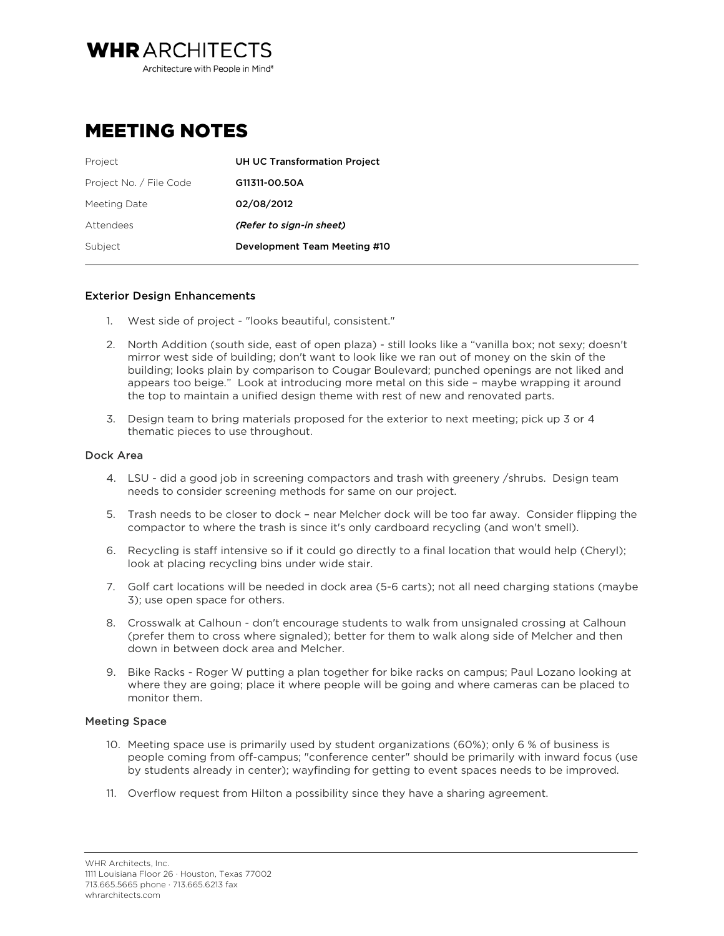**WHRARCHITECTS** Architecture with People in Mind<sup>®</sup>

# MEETING NOTES

| Project                 | <b>UH UC Transformation Project</b> |
|-------------------------|-------------------------------------|
| Project No. / File Code | G11311-00.50A                       |
| Meeting Date            | 02/08/2012                          |
| Attendees               | (Refer to sign-in sheet)            |
| Subject                 | Development Team Meeting #10        |

# Exterior Design Enhancements

- 1. West side of project "looks beautiful, consistent."
- 2. North Addition (south side, east of open plaza) still looks like a "vanilla box; not sexy; doesn't mirror west side of building; don't want to look like we ran out of money on the skin of the building; looks plain by comparison to Cougar Boulevard; punched openings are not liked and appears too beige." Look at introducing more metal on this side – maybe wrapping it around the top to maintain a unified design theme with rest of new and renovated parts.
- 3. Design team to bring materials proposed for the exterior to next meeting; pick up 3 or 4 thematic pieces to use throughout.

## Dock Area

- 4. LSU did a good job in screening compactors and trash with greenery /shrubs. Design team needs to consider screening methods for same on our project.
- 5. Trash needs to be closer to dock near Melcher dock will be too far away. Consider flipping the compactor to where the trash is since it's only cardboard recycling (and won't smell).
- 6. Recycling is staff intensive so if it could go directly to a final location that would help (Cheryl); look at placing recycling bins under wide stair.
- 7. Golf cart locations will be needed in dock area (5-6 carts); not all need charging stations (maybe 3); use open space for others.
- 8. Crosswalk at Calhoun don't encourage students to walk from unsignaled crossing at Calhoun (prefer them to cross where signaled); better for them to walk along side of Melcher and then down in between dock area and Melcher.
- 9. Bike Racks Roger W putting a plan together for bike racks on campus; Paul Lozano looking at where they are going; place it where people will be going and where cameras can be placed to monitor them.

# Meeting Space

- 10. Meeting space use is primarily used by student organizations (60%); only 6 % of business is people coming from off-campus; "conference center" should be primarily with inward focus (use by students already in center); wayfinding for getting to event spaces needs to be improved.
- 11. Overflow request from Hilton a possibility since they have a sharing agreement.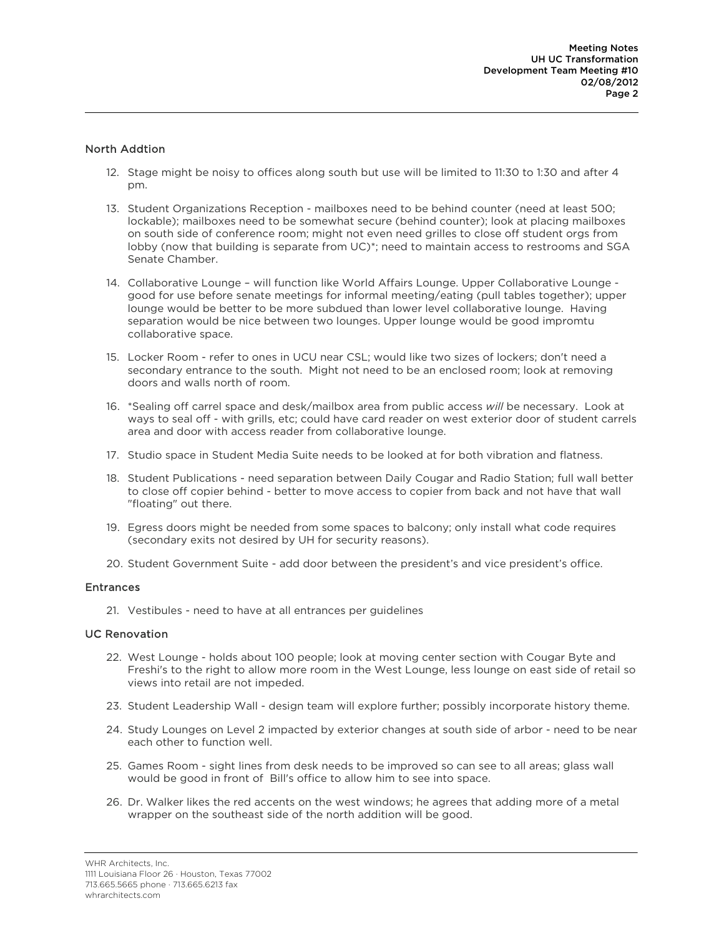# North Addtion

- 12. Stage might be noisy to offices along south but use will be limited to 11:30 to 1:30 and after 4 pm.
- 13. Student Organizations Reception mailboxes need to be behind counter (need at least 500; lockable); mailboxes need to be somewhat secure (behind counter); look at placing mailboxes on south side of conference room; might not even need grilles to close off student orgs from lobby (now that building is separate from UC)\*; need to maintain access to restrooms and SGA Senate Chamber.
- 14. Collaborative Lounge will function like World Affairs Lounge. Upper Collaborative Lounge good for use before senate meetings for informal meeting/eating (pull tables together); upper lounge would be better to be more subdued than lower level collaborative lounge. Having separation would be nice between two lounges. Upper lounge would be good impromtu collaborative space.
- 15. Locker Room refer to ones in UCU near CSL; would like two sizes of lockers; don't need a secondary entrance to the south. Might not need to be an enclosed room; look at removing doors and walls north of room.
- 16. \*Sealing off carrel space and desk/mailbox area from public access *will* be necessary. Look at ways to seal off - with grills, etc; could have card reader on west exterior door of student carrels area and door with access reader from collaborative lounge.
- 17. Studio space in Student Media Suite needs to be looked at for both vibration and flatness.
- 18. Student Publications need separation between Daily Cougar and Radio Station; full wall better to close off copier behind - better to move access to copier from back and not have that wall "floating" out there.
- 19. Egress doors might be needed from some spaces to balcony; only install what code requires (secondary exits not desired by UH for security reasons).
- 20. Student Government Suite add door between the president's and vice president's office.

### **Entrances**

21. Vestibules - need to have at all entrances per guidelines

### UC Renovation

- 22. West Lounge holds about 100 people; look at moving center section with Cougar Byte and Freshi's to the right to allow more room in the West Lounge, less lounge on east side of retail so views into retail are not impeded.
- 23. Student Leadership Wall design team will explore further; possibly incorporate history theme.
- 24. Study Lounges on Level 2 impacted by exterior changes at south side of arbor need to be near each other to function well.
- 25. Games Room sight lines from desk needs to be improved so can see to all areas; glass wall would be good in front of Bill's office to allow him to see into space.
- 26. Dr. Walker likes the red accents on the west windows; he agrees that adding more of a metal wrapper on the southeast side of the north addition will be good.

WHR Architects, Inc. 1111 Louisiana Floor 26 · Houston, Texas 77002 713.665.5665 phone · 713.665.6213 fax whrarchitects.com